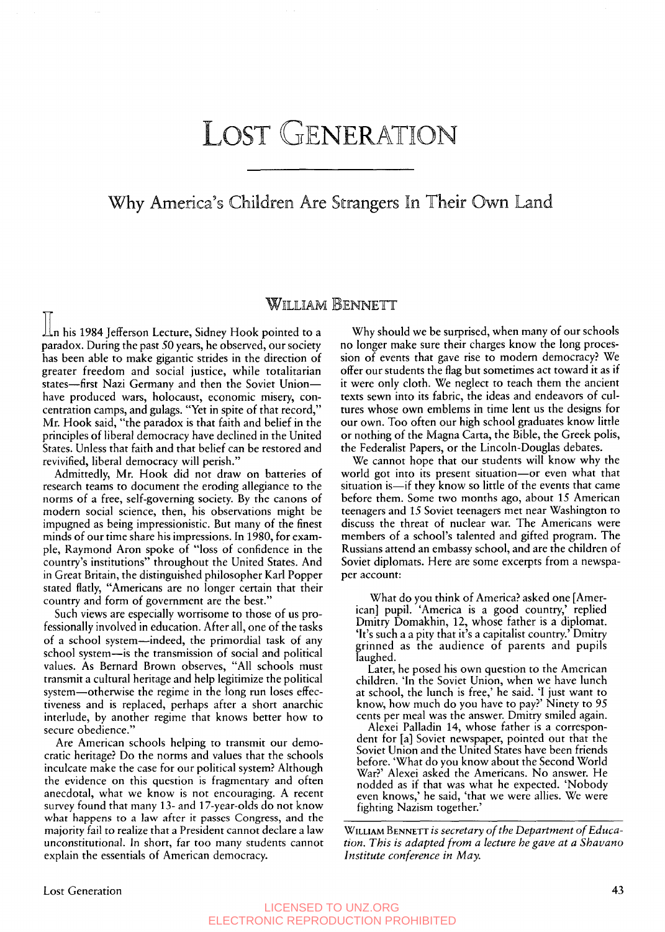# LOST GENERATION

## Why America's Children Are Strangers In Their Own Land

### HILILIAM BENNETT

 $\mathop{\perp\!\!\!\!\perp}$ n his 1984 Jefferson Lecture, Sidney Hook pointed to a paradox. During the past 50 years, he observed, our society has been able to make gigantic strides in the direction of greater freedom and social justice, while totalitarian states-first Nazi Germany and then the Soviet Unionhave produced wars, holocaust, economic misery, concentration camps, and gulags. "Yet in spite of that record," Mr. Hook said, "the paradox is that faith and belief in the principles of liberal democracy have declined in the United States. Unless that faith and that belief can be restored and revivified, liberal democracy will perish."

Admittedly, Mr. Hook did not draw on batteries of research teams to document the eroding allegiance to the norms of a free, self-governing society. By the canons of modern social science, then, his observations might be impugned as being impressionistic. But many of the finest minds of our time share his impressions. In 1980, for example, Raymond Aron spoke of "loss of confidence in the country's institutions" throughout the United States. And in Great Britain, the distinguished philosopher Karl Popper stated flatly, "Americans are no longer certain that their counrry and form of government are the best."

Such views are especially worrisome to those of us professionally involved in education. After all, one of the tasks of a school system-indeed, the primordial task of any school system-is the transmission of social and political values. As Bernard Brown observes, "All schools must transmit a cultural heritage and help legitimize the political system-otherwise the regime in the long run loses effectiveness and is replaced, perhaps after a short anarchic interlude, by another regime that knows better how to secure obedience."

Are American schools helping to transmit our democratic heritage? Do the norms and values that the schools inculcate make the case for our political system? Although the evidence on this question **is** fragmentary and often anecdotal, what we know is not encouraging. **A** recent survey found that many 13- and 17-year-olds do not know what happens to a law after it passes Congress, and the majority fail to realize that a President cannot declare a law unconstitutional. In short, far too many students cannot explain the essentials of American democracy.

Why should we be surprised, when many of our schools no longer make sure their charges know the long procession of events that gave rise to modern democracy? We offer our students the flag but sometimes act toward it as if it were only cloth. We neglect to teach them the ancient texts sewn into its fabric, the ideas and endeavors of cultures whose own emblems in time lent us the designs for our own. Too often our high school graduates know little or nothing of the Magna Carta, the Bible, the Greek polis, the Federalist Papers, or the Lincoln-Douglas debates.

We cannot hope that our students will know why the world got into its present situation-or even what that situation is—if they know so little of the events that came before them. Some two months ago, about 15 American teenagers and 15 Soviet teenagers met near Washington to discuss the threat of nuclear war. The Americans were members of a school's talented and gifted program. The Russians attend an embassy school, and are the children of Soviet diplomats. Here are some excerpts from a newspaper account:

What do you think of America? asked one [American] pupil. 'America is a good country,' replied Dmitry Domakhin, 12, whose father is a diplomat. 'It's such a a pity that it's a capitalist country.' Dmitry rinned as the audience of parents and pupils laughed.

Later, he posed his own question to the American children. 'In the Soviet Union, when we have lunch at school, the lunch is free,' he said. 'I just want to know, how much do you have to pay?' Ninety to 95 cents per meal was the answer. Dmitry smiled again.

Alexei Palladin 14, whose father is a correspondent for [a] Soviet newspaper, pointed out that the Soviet Union and the United States have been friends before. 'What do you know about the Second World War?' Alexei asked the Americans. No answer. He nodded as if that was what he expected. 'Nobody even knows,' he said, 'that we were allies. We were fighting Nazism together.'

WILLIAM **BENNETT** *is secretary of the Department of Education. This is adapted from a lecture he gave at a Shavano Institute conference in May.* 

#### LICENSED TO UNZ.ORG ELECTRONIC REPRODUCTION PROHIBITED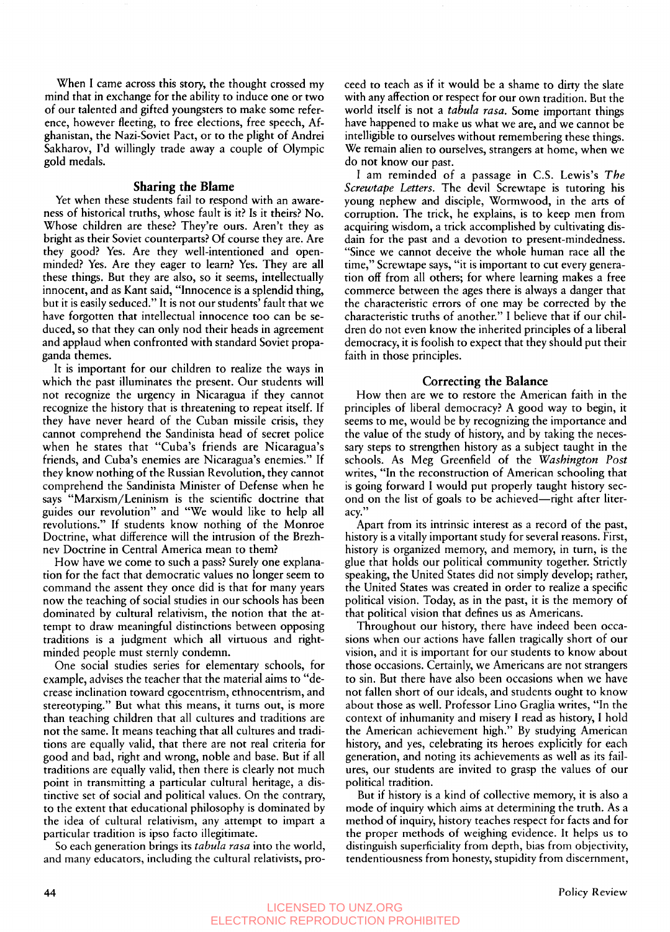When I came across this story, the thought crossed my mind that in exchange for the ability to induce one or two of our talented and gifted youngsters to make some reference, however fleeting, to free elections, free speech, Afghanistan, the Nazi-Soviet Pact, or to the plight of Andrei Sakharov, I'd willingly trade away a couple of Olympic gold medals.

#### **Sharing the Blame**

Yet when these students fail to respond with an awareness of historical truths, whose fault is it? Is it theirs? No. Whose children are these? They're ours. Aren't they as bright as their Soviet counterparts? Of course they are. Are they good? Yes. Are they well-intentioned and openminded? Yes. Are they eager to learn? Yes. They are all these things. But they are also, so it seems, intellectually innocent, and as Kant said, "Innocence is a splendid thing, but it is easily seduced." It is not our students' fault that we have forgotten that intellectual innocence too can be seduced, so that they can only nod their heads in agreement and applaud when confronted with standard Soviet propaganda themes.

It is important for our children to realize the ways in which the past illuminates the present. Our students will not recognize the urgency in Nicaragua if they cannot recognize the history that is threatening to repeat itself. If they have never heard of the Cuban missile crisis, they cannot comprehend the Sandinista head of secret police when he states that "Cuba's friends are Nicaragua's friends, and Cuba's enemies are Nicaragua's enemies." If they know nothing of the Russian Revolution, they cannot comprehend the Sandinista Minister of Defense when he says "Marxism/Leninism is the scientific doctrine that guides our revolution" and "We would like to help all revolutions." If students know nothing of the Monroe Doctrine, what difference will the intrusion of the Brezhnev Doctrine in Central America mean to them?

How have we come to such a pass? Surely one explanation for the fact that democratic values no longer seem to command the assent they once did is that for many years now the teaching of social studies in our schools has been dominated by cultural relativism, the notion that the attempt to draw meaningful distinctions between opposing traditions is a judgment which all virtuous and rightminded people must sternly condemn.

One social studies series for elementary schools, for example, advises the teacher that the material aims to "decrease inclination toward egocentrism, ethnocentrism, and stereotyping." But what this means, it turns out, is more than teaching children that all cultures and traditions are not the same. It means teaching that all cultures and traditions are equally valid, that there are not real criteria for good and bad, right and wrong, noble and base. But if all traditions are equally valid, then there is clearly not much point in transmitting a particular cultural heritage, a distinctive set of social and political values. On the contrary, to the extent that educational philosophy is dominated by the idea of cultural relativism, any attempt to impart a particular tradition is ipso facto illegitimate.

So each generation brings its *tabula rasa* into the world, and many educators, including the cultural relativists, proceed to teach as if it would be a shame to dirty the slate with any affection or respect for our own tradition. But the world itself is not a *tabula rasa.* Some important things have happened to make **us** what we are, and we cannot be intelligible to ourselves without remembering these things. We remain alien to ourselves, strangers at home, when we do not know our past.

I am reminded of a passage in C.S. Lewis's *The Screwtape Letters.* The devil Screwtape is tutoring his young nephew and disciple, Wormwood, in the arts of corruption, The trick, he explains, is to keep men from acquiring wisdom, a trick accomplished by cultivating disdain for the past and a devotion to present-mindedness. "Since we cannot deceive the whole human race all the time," Screwtape says, "it is important to cut every generation off from all others; for where learning makes a free commerce between the ages there is always a danger that the characteristic errors of one may be corrected by the characteristic truths of another." I believe that if our children do not even know the inherited principles of a liberal democracy, it is foolish to expect that they should put their faith in those principles.

#### **Correcting the Balance**

How then are we to restore the American faith in the principles of liberal democracy? A good way to begin, it seems to me, would be by recognizing the importance and the value of the study of history, and by taking the necessary steps to strengthen history as a subject taught in the schools. As Meg Greenfield of the *Washington Post*  writes. "In the reconstruction of American schooling that **<sup>v</sup>** is going forward I would put properly taught history second on the list of goals to be achieved-right after literacv."

Apart from its intrinsic interest as a record of the past, history is a vitally important study for several reasons. First, history is organized memory, and memory, in turn, is the glue that holds our political community together. Strictly speaking, the United States did not simply develop; rather, the United States was created in order to realize a specific political vision. Today, as in the past, it is the memory of that political vision that defines us as Americans.

Throughout our history, there have indeed been occasions when our actions have fallen tragically short of our vision, and it is important for our students to know about those occasions. Certainly, we Americans are not strangers to sin. But there have also been occasions when we have not fallen short of our ideals, and students ought to know about those as well. Professor Lino Graglia writes, "In the context of inhumanity and misery I read as history, I hold the American achievement high." By studying American history, and yes, celebrating its heroes explicitly for each generation, and noting its achievements as well as its failures, our students are invited to grasp the values of our political tradition.

But if history is a kind of collective memory, it is also a mode of inquiry which aims at determining the truth. As a method of inquiry, history teaches respect for facts and for the proper methods of weighing evidence. It helps us to distinguish superficiality from depth, bias from objectivity, tendentiousness from honesty, stupidity from discernment,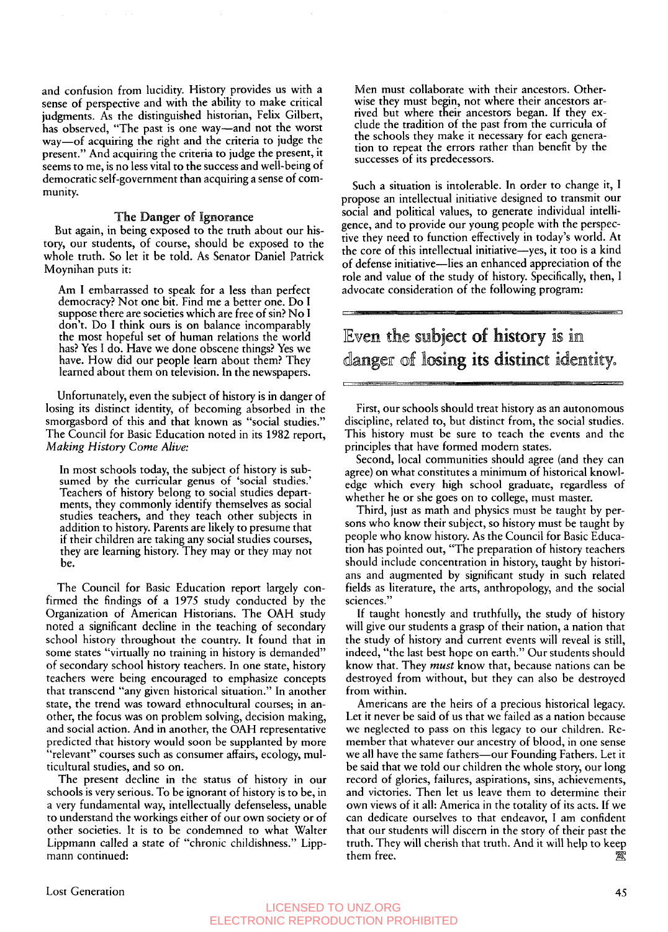and confusion from lucidity. History provides **us** with a sense of perspective and with the ability to make critical has observed, "The past is one way-and not the worst way-of acquiring the right and the criteria to judge the present." And acquiring the criteria to judge the present, it seems to me, is no less vital to the success and well-being of democratic self-government than acquiring a sense of comjudgments. As the distinguished historian, Felix Gilbert, munity.

#### **The Danger of Ignorance**

But again, in being exposed to the truth about our history, our students, of course, should be exposed to the whole truth. So let it be told. **As** Senator Daniel Patrick Moynihan puts it:

Am I embarrassed to speak for a less than perfect democracy? Not one bit. Find me a better one. Do I suppose there are societies which are free of sin? No I don't. Do I think ours is on balance incomparably the most hopeful set of human relations the world has? Yes **I** do. Have we done obscene things? Yes we have. How did our people learn about them? They learned about them on television. In the newspapers.

Unfortunately, even the subject of history is in danger of losing its distinct identity, of becoming absorbed in the smorgasbord of this and that known as "social studies." The Council for Basic Education noted in its **1982** report, *Making History Come Alive:* 

In most schools today, the subject of history is subsumed by the curricular genus **of** 'social studies.' Teachers of history belong to social studies departments, they commonly identify themselves as social studies teachers, and they teach other subjects in addition to history. Parents are likely to presume that if their children are taking any social studies courses, they are learning history. They may or they may not be.

The Council for Basic Education report largely confirmed the findings of a **1975** study conducted by the Organization of American Historians. The OAH study noted a significant decline in the teaching of secondary school history throughout the country. It found that in some states "virtually no training in history is demanded" of secondary school history teachers. In one state, history teachers were being encouraged to emphasize concepts that transcend "any given historical situation." In another state, the trend was toward ethnocultural courses; in another, the focus was on problem solving, decision making, and social action. And in another, the OAH representative predicted that history would soon be supplanted by more " relevant" courses such as consumer affairs, ecology, multicultural studies, and so on.

The present decline in the status of history in our schools is very serious. To be ignorant of history is to be, in **a** very fundamental way, intellectually defenseless, unable to understand the workings either of our own society or of other societies. It is to be condemned to what Walter Lippmann called a state of "chronic childishness." Lippmann continued:

Men must collaborate with their ancestors. Otherwise they must begin, not where their ancestors ar-<br>rived but where their ancestors began. If they exclude the tradition of the past from the curricula of the schools they make it necessary for each generation to repeat the errors rather than benefit by the successes of its predecessors.

Such a situation is intolerable. In order to change it, I propose an intellectual initiative designed to transmit our social and political values, to generate individual intelligence, and to provide our young people with the perspective they need to function effectively in today's world. At the core of this intellectual initiative-yes, it too is a kind of defense initiative-lies an enhanced appreciation of the role and value of the study of history. Specifically, then, I advocate consideration of the following program:

# Even the subject of history is in danger of losing its distinct identity.

First, our schools should treat history as an autonomous discipline, related to, but distinct from, the social studies. This history must be sure to teach the events and the principles that have formed modern states.

Second, local communities should agree (and they can agree) on what constitutes a minimum of historical knowledge which every high school graduate, regardless of whether he or she goes on to college, must master.

Third, just as math and physics must be taught by persons who know their subject, so history must be taught by people who know history. As the Council for Basic Education has pointed out, "The preparation of history teachers should include concentration in history, taught by historians and augmented by significant study in such related fields as literature, the arts, anthropology, and the social sciences."

If taught honestly and truthfully, the study of history will give our students a grasp of their nation, a nation that the study of history and current events will reveal is still, indeed, "the last best hope on earth." Our students should know that. They *must* know that, because nations can be destroyed from without, but they can also be destroyed from within.

Americans are the heirs of a precious historical legacy. Let it never be said of us that we failed as a nation because we neglected to pass on this legacy to our children. Remember that whatever our ancestry of blood, in one sense we all have the same fathers—our Founding Fathers. Let it be said that we told our children the whole story, our long record of glories, failures, aspirations, sins, achievements, and victories. Then let us leave them to determine their own views of it all: America in the totality of its acts. If we can dedicate ourselves to that endeavor, I am confident that our students will discern in the story of their past the truth. They will cherish that truth. And it will help to keep them free. 梵

#### LICENSED TO UNZ.ORG ELECTRONIC REPRODUCTION PROHIBITED